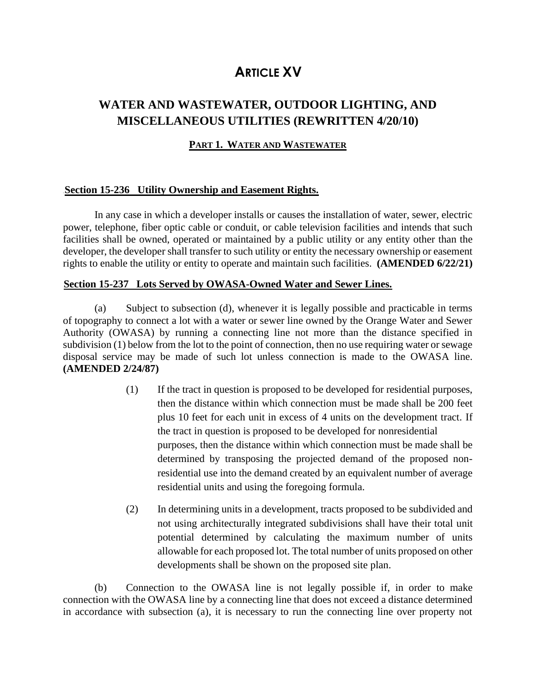# 0B**ARTICLE XV**

## **WATER AND WASTEWATER, OUTDOOR LIGHTING, AND MISCELLANEOUS UTILITIES (REWRITTEN 4/20/10)**

## **PART 1. WATER AND WASTEWATER**

## **Section 15-236 Utility Ownership and Easement Rights.**

In any case in which a developer installs or causes the installation of water, sewer, electric power, telephone, fiber optic cable or conduit, or cable television facilities and intends that such facilities shall be owned, operated or maintained by a public utility or any entity other than the developer, the developer shall transfer to such utility or entity the necessary ownership or easement rights to enable the utility or entity to operate and maintain such facilities. **(AMENDED 6/22/21)**

## <sup>U</sup>**Section 15-237 Lots Served by OWASA-Owned Water and Sewer Lines.**

(a) Subject to subsection (d), whenever it is legally possible and practicable in terms of topography to connect a lot with a water or sewer line owned by the Orange Water and Sewer Authority (OWASA) by running a connecting line not more than the distance specified in subdivision (1) below from the lot to the point of connection, then no use requiring water or sewage disposal service may be made of such lot unless connection is made to the OWASA line. **(AMENDED 2/24/87)**

- (1) If the tract in question is proposed to be developed for residential purposes, then the distance within which connection must be made shall be 200 feet plus 10 feet for each unit in excess of 4 units on the development tract. If the tract in question is proposed to be developed for nonresidential purposes, then the distance within which connection must be made shall be determined by transposing the projected demand of the proposed nonresidential use into the demand created by an equivalent number of average residential units and using the foregoing formula.
- (2) In determining units in a development, tracts proposed to be subdivided and not using architecturally integrated subdivisions shall have their total unit potential determined by calculating the maximum number of units allowable for each proposed lot. The total number of units proposed on other developments shall be shown on the proposed site plan.

(b) Connection to the OWASA line is not legally possible if, in order to make connection with the OWASA line by a connecting line that does not exceed a distance determined in accordance with subsection (a), it is necessary to run the connecting line over property not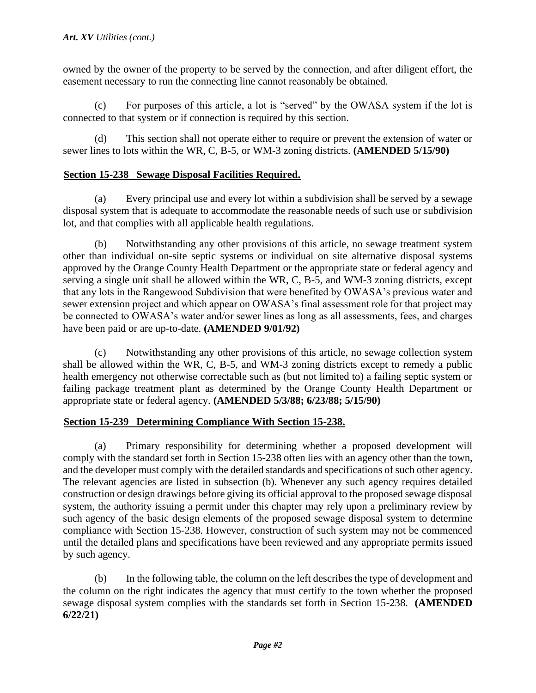owned by the owner of the property to be served by the connection, and after diligent effort, the easement necessary to run the connecting line cannot reasonably be obtained.

(c) For purposes of this article, a lot is "served" by the OWASA system if the lot is connected to that system or if connection is required by this section.

(d) This section shall not operate either to require or prevent the extension of water or sewer lines to lots within the WR, C, B-5, or WM-3 zoning districts. **(AMENDED 5/15/90)** 

## Section 15-238 Sewage Disposal Facilities Required.

(a) Every principal use and every lot within a subdivision shall be served by a sewage disposal system that is adequate to accommodate the reasonable needs of such use or subdivision lot, and that complies with all applicable health regulations.

(b) Notwithstanding any other provisions of this article, no sewage treatment system other than individual on-site septic systems or individual on site alternative disposal systems approved by the Orange County Health Department or the appropriate state or federal agency and serving a single unit shall be allowed within the WR, C, B-5, and WM-3 zoning districts, except that any lots in the Rangewood Subdivision that were benefited by OWASA's previous water and sewer extension project and which appear on OWASA's final assessment role for that project may be connected to OWASA's water and/or sewer lines as long as all assessments, fees, and charges have been paid or are up-to-date. **(AMENDED 9/01/92)** 

(c) Notwithstanding any other provisions of this article, no sewage collection system shall be allowed within the WR, C, B-5, and WM-3 zoning districts except to remedy a public health emergency not otherwise correctable such as (but not limited to) a failing septic system or failing package treatment plant as determined by the Orange County Health Department or appropriate state or federal agency. **(AMENDED 5/3/88; 6/23/88; 5/15/90)**

## Section 15-239 Determining Compliance With Section 15-238.

(a) Primary responsibility for determining whether a proposed development will comply with the standard set forth in Section 15-238 often lies with an agency other than the town, and the developer must comply with the detailed standards and specifications of such other agency. The relevant agencies are listed in subsection (b). Whenever any such agency requires detailed construction or design drawings before giving its official approval to the proposed sewage disposal system, the authority issuing a permit under this chapter may rely upon a preliminary review by such agency of the basic design elements of the proposed sewage disposal system to determine compliance with Section 15-238. However, construction of such system may not be commenced until the detailed plans and specifications have been reviewed and any appropriate permits issued by such agency.

(b) In the following table, the column on the left describes the type of development and the column on the right indicates the agency that must certify to the town whether the proposed sewage disposal system complies with the standards set forth in Section 15-238. **(AMENDED 6/22/21)**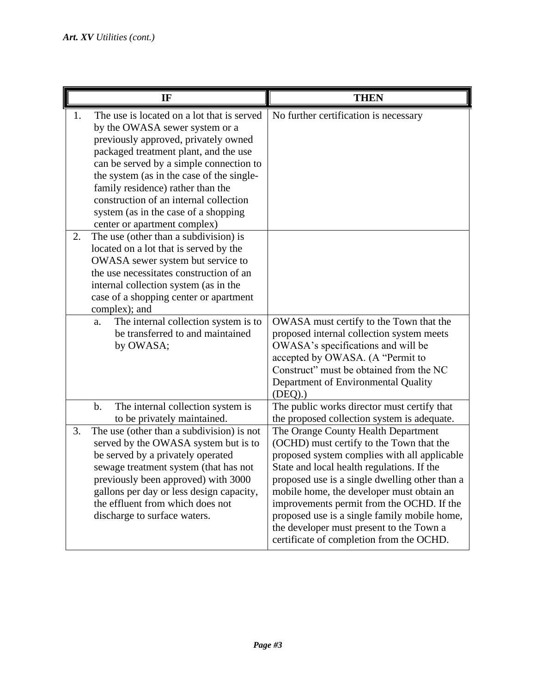| IF                                                                                                                                                                                                                                                                                                                                                                                                                                                                                                                                                                                                                                                                                              | <b>THEN</b>                                                                                                                                                                                                                                                                                                                                                                                                                                                       |
|-------------------------------------------------------------------------------------------------------------------------------------------------------------------------------------------------------------------------------------------------------------------------------------------------------------------------------------------------------------------------------------------------------------------------------------------------------------------------------------------------------------------------------------------------------------------------------------------------------------------------------------------------------------------------------------------------|-------------------------------------------------------------------------------------------------------------------------------------------------------------------------------------------------------------------------------------------------------------------------------------------------------------------------------------------------------------------------------------------------------------------------------------------------------------------|
| The use is located on a lot that is served<br>1.<br>by the OWASA sewer system or a<br>previously approved, privately owned<br>packaged treatment plant, and the use<br>can be served by a simple connection to<br>the system (as in the case of the single-<br>family residence) rather than the<br>construction of an internal collection<br>system (as in the case of a shopping<br>center or apartment complex)<br>The use (other than a subdivision) is<br>2.<br>located on a lot that is served by the<br>OWASA sewer system but service to<br>the use necessitates construction of an<br>internal collection system (as in the<br>case of a shopping center or apartment<br>complex); and | No further certification is necessary                                                                                                                                                                                                                                                                                                                                                                                                                             |
| The internal collection system is to<br>a.<br>be transferred to and maintained<br>by OWASA;                                                                                                                                                                                                                                                                                                                                                                                                                                                                                                                                                                                                     | OWASA must certify to the Town that the<br>proposed internal collection system meets<br>OWASA's specifications and will be<br>accepted by OWASA. (A "Permit to<br>Construct" must be obtained from the NC<br>Department of Environmental Quality<br>(DEQ).                                                                                                                                                                                                        |
| The internal collection system is<br>$\mathbf b$ .<br>to be privately maintained.                                                                                                                                                                                                                                                                                                                                                                                                                                                                                                                                                                                                               | The public works director must certify that<br>the proposed collection system is adequate.                                                                                                                                                                                                                                                                                                                                                                        |
| The use (other than a subdivision) is not<br>3.<br>served by the OWASA system but is to<br>be served by a privately operated<br>sewage treatment system (that has not<br>previously been approved) with 3000<br>gallons per day or less design capacity,<br>the effluent from which does not<br>discharge to surface waters.                                                                                                                                                                                                                                                                                                                                                                    | The Orange County Health Department<br>(OCHD) must certify to the Town that the<br>proposed system complies with all applicable<br>State and local health regulations. If the<br>proposed use is a single dwelling other than a<br>mobile home, the developer must obtain an<br>improvements permit from the OCHD. If the<br>proposed use is a single family mobile home,<br>the developer must present to the Town a<br>certificate of completion from the OCHD. |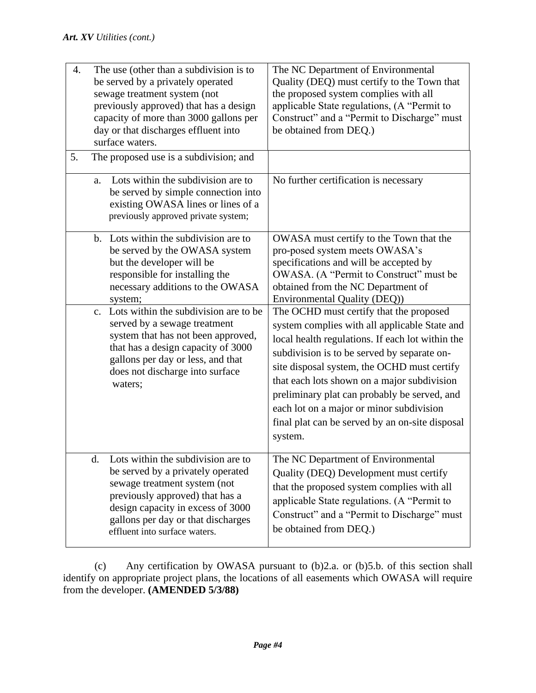| 4. |                            | The use (other than a subdivision is to<br>be served by a privately operated<br>sewage treatment system (not<br>previously approved) that has a design<br>capacity of more than 3000 gallons per<br>day or that discharges effluent into<br>surface waters.                                                                                                                 | The NC Department of Environmental<br>Quality (DEQ) must certify to the Town that<br>the proposed system complies with all<br>applicable State regulations, (A "Permit to<br>Construct" and a "Permit to Discharge" must<br>be obtained from DEQ.)                                                                                                                                                                                  |
|----|----------------------------|-----------------------------------------------------------------------------------------------------------------------------------------------------------------------------------------------------------------------------------------------------------------------------------------------------------------------------------------------------------------------------|-------------------------------------------------------------------------------------------------------------------------------------------------------------------------------------------------------------------------------------------------------------------------------------------------------------------------------------------------------------------------------------------------------------------------------------|
| 5. |                            | The proposed use is a subdivision; and                                                                                                                                                                                                                                                                                                                                      |                                                                                                                                                                                                                                                                                                                                                                                                                                     |
|    | a.                         | Lots within the subdivision are to<br>be served by simple connection into<br>existing OWASA lines or lines of a<br>previously approved private system;                                                                                                                                                                                                                      | No further certification is necessary                                                                                                                                                                                                                                                                                                                                                                                               |
|    | $h_{\cdot}$<br>$C_{\cdot}$ | Lots within the subdivision are to<br>be served by the OWASA system<br>but the developer will be<br>responsible for installing the<br>necessary additions to the OWASA<br>system;<br>Lots within the subdivision are to be<br>served by a sewage treatment<br>system that has not been approved,<br>that has a design capacity of 3000<br>gallons per day or less, and that | OWASA must certify to the Town that the<br>pro-posed system meets OWASA's<br>specifications and will be accepted by<br>OWASA. (A "Permit to Construct" must be<br>obtained from the NC Department of<br>Environmental Quality (DEQ))<br>The OCHD must certify that the proposed<br>system complies with all applicable State and<br>local health regulations. If each lot within the<br>subdivision is to be served by separate on- |
|    |                            | does not discharge into surface<br>waters;                                                                                                                                                                                                                                                                                                                                  | site disposal system, the OCHD must certify<br>that each lots shown on a major subdivision<br>preliminary plat can probably be served, and<br>each lot on a major or minor subdivision<br>final plat can be served by an on-site disposal<br>system.                                                                                                                                                                                |
|    | d.                         | Lots within the subdivision are to<br>be served by a privately operated<br>sewage treatment system (not<br>previously approved) that has a<br>design capacity in excess of 3000<br>gallons per day or that discharges<br>effluent into surface waters.                                                                                                                      | The NC Department of Environmental<br>Quality (DEQ) Development must certify<br>that the proposed system complies with all<br>applicable State regulations. (A "Permit to<br>Construct" and a "Permit to Discharge" must<br>be obtained from DEQ.)                                                                                                                                                                                  |

(c) Any certification by OWASA pursuant to (b)2.a. or (b)5.b. of this section shall identify on appropriate project plans, the locations of all easements which OWASA will require from the developer. **(AMENDED 5/3/88)**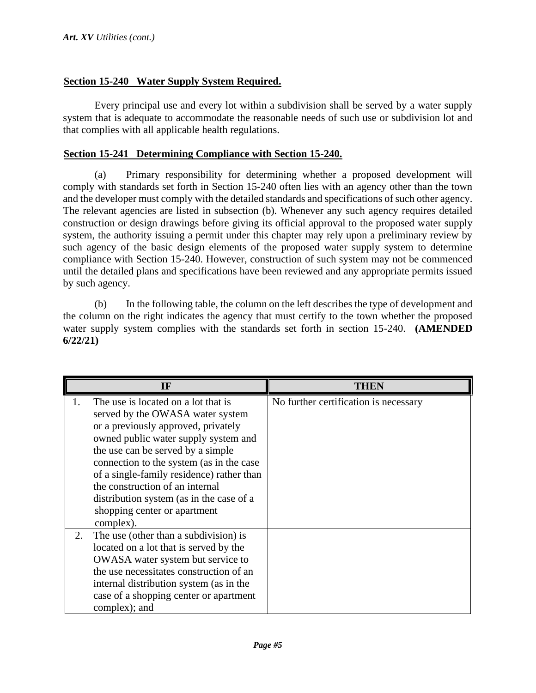## <sup>U</sup>**Section 15-240 Water Supply System Required.**

Every principal use and every lot within a subdivision shall be served by a water supply system that is adequate to accommodate the reasonable needs of such use or subdivision lot and that complies with all applicable health regulations.

## <sup>U</sup>**Section 15-241 Determining Compliance with Section 15-240.**

(a) Primary responsibility for determining whether a proposed development will comply with standards set forth in Section 15-240 often lies with an agency other than the town and the developer must comply with the detailed standards and specifications of such other agency. The relevant agencies are listed in subsection (b). Whenever any such agency requires detailed construction or design drawings before giving its official approval to the proposed water supply system, the authority issuing a permit under this chapter may rely upon a preliminary review by such agency of the basic design elements of the proposed water supply system to determine compliance with Section 15-240. However, construction of such system may not be commenced until the detailed plans and specifications have been reviewed and any appropriate permits issued by such agency.

(b) In the following table, the column on the left describes the type of development and the column on the right indicates the agency that must certify to the town whether the proposed water supply system complies with the standards set forth in section 15-240. **(AMENDED 6/22/21)**

| IF |                                                                                                                                                                                                                                                                                                                                                                                                                  | THEN                                  |
|----|------------------------------------------------------------------------------------------------------------------------------------------------------------------------------------------------------------------------------------------------------------------------------------------------------------------------------------------------------------------------------------------------------------------|---------------------------------------|
| 1. | The use is located on a lot that is<br>served by the OWASA water system<br>or a previously approved, privately<br>owned public water supply system and<br>the use can be served by a simple<br>connection to the system (as in the case<br>of a single-family residence) rather than<br>the construction of an internal<br>distribution system (as in the case of a<br>shopping center or apartment<br>complex). | No further certification is necessary |
| 2. | The use (other than a subdivision) is<br>located on a lot that is served by the<br>OWASA water system but service to<br>the use necessitates construction of an<br>internal distribution system (as in the<br>case of a shopping center or apartment<br>complex); and                                                                                                                                            |                                       |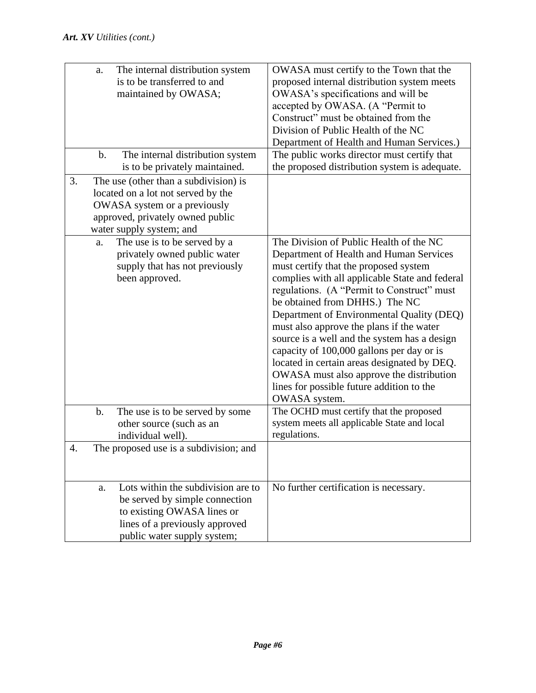|    | a.            | The internal distribution system<br>is to be transferred to and<br>maintained by OWASA;                                                                                     | OWASA must certify to the Town that the<br>proposed internal distribution system meets<br>OWASA's specifications and will be<br>accepted by OWASA. (A "Permit to<br>Construct" must be obtained from the<br>Division of Public Health of the NC<br>Department of Health and Human Services.)                                                                                                                                                                                                                                                                                                                 |
|----|---------------|-----------------------------------------------------------------------------------------------------------------------------------------------------------------------------|--------------------------------------------------------------------------------------------------------------------------------------------------------------------------------------------------------------------------------------------------------------------------------------------------------------------------------------------------------------------------------------------------------------------------------------------------------------------------------------------------------------------------------------------------------------------------------------------------------------|
|    | $\mathbf b$ . | The internal distribution system<br>is to be privately maintained.                                                                                                          | The public works director must certify that<br>the proposed distribution system is adequate.                                                                                                                                                                                                                                                                                                                                                                                                                                                                                                                 |
| 3. |               | The use (other than a subdivision) is<br>located on a lot not served by the<br>OWASA system or a previously<br>approved, privately owned public<br>water supply system; and |                                                                                                                                                                                                                                                                                                                                                                                                                                                                                                                                                                                                              |
|    | a.            | The use is to be served by a<br>privately owned public water<br>supply that has not previously<br>been approved.                                                            | The Division of Public Health of the NC<br>Department of Health and Human Services<br>must certify that the proposed system<br>complies with all applicable State and federal<br>regulations. (A "Permit to Construct" must<br>be obtained from DHHS.) The NC<br>Department of Environmental Quality (DEQ)<br>must also approve the plans if the water<br>source is a well and the system has a design<br>capacity of 100,000 gallons per day or is<br>located in certain areas designated by DEQ.<br>OWASA must also approve the distribution<br>lines for possible future addition to the<br>OWASA system. |
|    | b.            | The use is to be served by some<br>other source (such as an<br>individual well).                                                                                            | The OCHD must certify that the proposed<br>system meets all applicable State and local<br>regulations.                                                                                                                                                                                                                                                                                                                                                                                                                                                                                                       |
| 4. |               | The proposed use is a subdivision; and                                                                                                                                      |                                                                                                                                                                                                                                                                                                                                                                                                                                                                                                                                                                                                              |
|    | a.            | Lots within the subdivision are to<br>be served by simple connection<br>to existing OWASA lines or<br>lines of a previously approved<br>public water supply system;         | No further certification is necessary.                                                                                                                                                                                                                                                                                                                                                                                                                                                                                                                                                                       |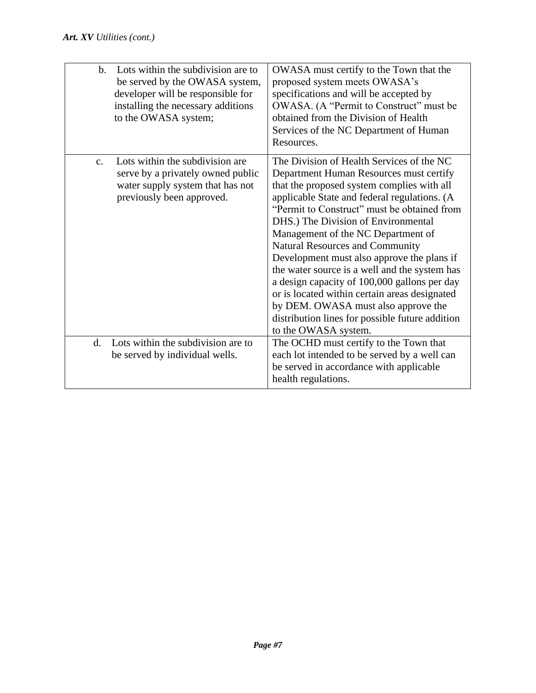| $\mathbf{b}$ . | Lots within the subdivision are to<br>be served by the OWASA system,<br>developer will be responsible for<br>installing the necessary additions<br>to the OWASA system; | OWASA must certify to the Town that the<br>proposed system meets OWASA's<br>specifications and will be accepted by<br>OWASA. (A "Permit to Construct" must be<br>obtained from the Division of Health<br>Services of the NC Department of Human<br>Resources.                                                                                                                                                                                                                                                                                                                                                                                                       |
|----------------|-------------------------------------------------------------------------------------------------------------------------------------------------------------------------|---------------------------------------------------------------------------------------------------------------------------------------------------------------------------------------------------------------------------------------------------------------------------------------------------------------------------------------------------------------------------------------------------------------------------------------------------------------------------------------------------------------------------------------------------------------------------------------------------------------------------------------------------------------------|
| C <sub>1</sub> | Lots within the subdivision are<br>serve by a privately owned public<br>water supply system that has not<br>previously been approved.                                   | The Division of Health Services of the NC<br>Department Human Resources must certify<br>that the proposed system complies with all<br>applicable State and federal regulations. (A<br>"Permit to Construct" must be obtained from<br>DHS.) The Division of Environmental<br>Management of the NC Department of<br>Natural Resources and Community<br>Development must also approve the plans if<br>the water source is a well and the system has<br>a design capacity of 100,000 gallons per day<br>or is located within certain areas designated<br>by DEM. OWASA must also approve the<br>distribution lines for possible future addition<br>to the OWASA system. |
| $\mathbf{d}$ . | Lots within the subdivision are to<br>be served by individual wells.                                                                                                    | The OCHD must certify to the Town that<br>each lot intended to be served by a well can<br>be served in accordance with applicable<br>health regulations.                                                                                                                                                                                                                                                                                                                                                                                                                                                                                                            |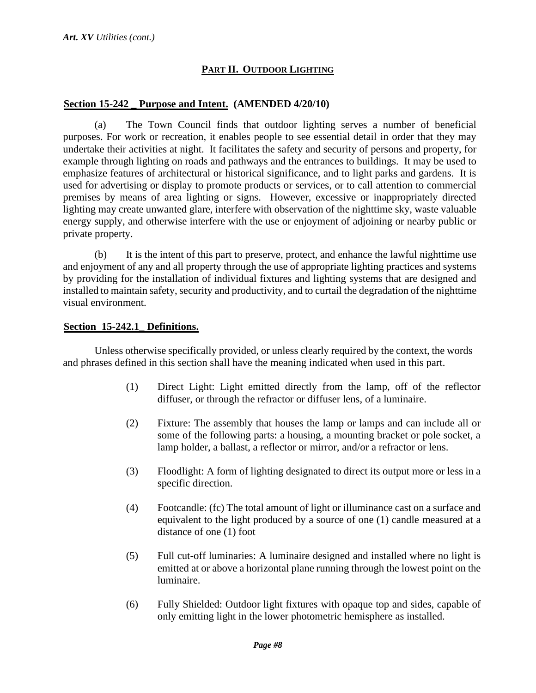## **PART II. OUTDOOR LIGHTING**

## <sup>U</sup>**Section 15-242 \_ Purpose and Intent. (AMENDED 4/20/10)**

(a) The Town Council finds that outdoor lighting serves a number of beneficial purposes. For work or recreation, it enables people to see essential detail in order that they may undertake their activities at night. It facilitates the safety and security of persons and property, for example through lighting on roads and pathways and the entrances to buildings. It may be used to emphasize features of architectural or historical significance, and to light parks and gardens. It is used for advertising or display to promote products or services, or to call attention to commercial premises by means of area lighting or signs. However, excessive or inappropriately directed lighting may create unwanted glare, interfere with observation of the nighttime sky, waste valuable energy supply, and otherwise interfere with the use or enjoyment of adjoining or nearby public or private property.

(b) It is the intent of this part to preserve, protect, and enhance the lawful nighttime use and enjoyment of any and all property through the use of appropriate lighting practices and systems by providing for the installation of individual fixtures and lighting systems that are designed and installed to maintain safety, security and productivity, and to curtail the degradation of the nighttime visual environment.

## <sup>U</sup>**Section 15-242.1\_ Definitions.**

Unless otherwise specifically provided, or unless clearly required by the context, the words and phrases defined in this section shall have the meaning indicated when used in this part.

- (1) Direct Light: Light emitted directly from the lamp, off of the reflector diffuser, or through the refractor or diffuser lens, of a luminaire.
- (2) Fixture: The assembly that houses the lamp or lamps and can include all or some of the following parts: a housing, a mounting bracket or pole socket, a lamp holder, a ballast, a reflector or mirror, and/or a refractor or lens.
- (3) Floodlight: A form of lighting designated to direct its output more or less in a specific direction.
- (4) Footcandle: (fc) The total amount of light or illuminance cast on a surface and equivalent to the light produced by a source of one (1) candle measured at a distance of one (1) foot
- (5) Full cut-off luminaries: A luminaire designed and installed where no light is emitted at or above a horizontal plane running through the lowest point on the luminaire.
- (6) Fully Shielded: Outdoor light fixtures with opaque top and sides, capable of only emitting light in the lower photometric hemisphere as installed.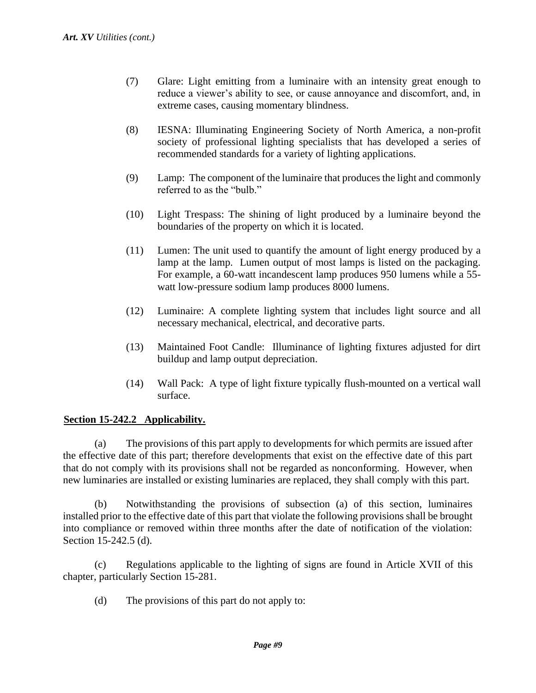- (7) Glare: Light emitting from a luminaire with an intensity great enough to reduce a viewer's ability to see, or cause annoyance and discomfort, and, in extreme cases, causing momentary blindness.
- (8) IESNA: Illuminating Engineering Society of North America, a non-profit society of professional lighting specialists that has developed a series of recommended standards for a variety of lighting applications.
- (9) Lamp: The component of the luminaire that produces the light and commonly referred to as the "bulb."
- (10) Light Trespass: The shining of light produced by a luminaire beyond the boundaries of the property on which it is located.
- (11) Lumen: The unit used to quantify the amount of light energy produced by a lamp at the lamp. Lumen output of most lamps is listed on the packaging. For example, a 60-watt incandescent lamp produces 950 lumens while a 55 watt low-pressure sodium lamp produces 8000 lumens.
- (12) Luminaire: A complete lighting system that includes light source and all necessary mechanical, electrical, and decorative parts.
- (13) Maintained Foot Candle: Illuminance of lighting fixtures adjusted for dirt buildup and lamp output depreciation.
- (14) Wall Pack: A type of light fixture typically flush-mounted on a vertical wall surface.

## Section 15-242.2 Applicability.

(a) The provisions of this part apply to developments for which permits are issued after the effective date of this part; therefore developments that exist on the effective date of this part that do not comply with its provisions shall not be regarded as nonconforming. However, when new luminaries are installed or existing luminaries are replaced, they shall comply with this part.

(b) Notwithstanding the provisions of subsection (a) of this section, luminaires installed prior to the effective date of this part that violate the following provisions shall be brought into compliance or removed within three months after the date of notification of the violation: Section 15-242.5 (d).

(c) Regulations applicable to the lighting of signs are found in Article XVII of this chapter, particularly Section 15-281.

(d) The provisions of this part do not apply to: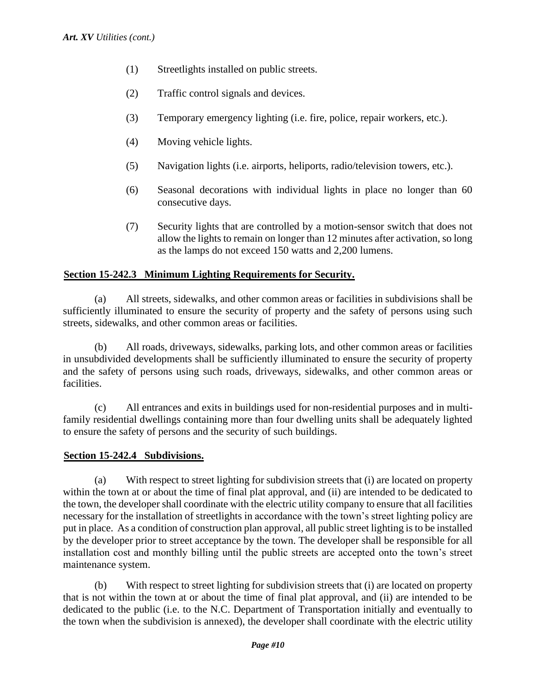- (1) Streetlights installed on public streets.
- (2) Traffic control signals and devices.
- (3) Temporary emergency lighting (i.e. fire, police, repair workers, etc.).
- (4) Moving vehicle lights.
- (5) Navigation lights (i.e. airports, heliports, radio/television towers, etc.).
- (6) Seasonal decorations with individual lights in place no longer than 60 consecutive days.
- (7) Security lights that are controlled by a motion-sensor switch that does not allow the lights to remain on longer than 12 minutes after activation, so long as the lamps do not exceed 150 watts and 2,200 lumens.

## Section 15-242.3 Minimum Lighting Requirements for Security.

(a) All streets, sidewalks, and other common areas or facilities in subdivisions shall be sufficiently illuminated to ensure the security of property and the safety of persons using such streets, sidewalks, and other common areas or facilities.

(b) All roads, driveways, sidewalks, parking lots, and other common areas or facilities in unsubdivided developments shall be sufficiently illuminated to ensure the security of property and the safety of persons using such roads, driveways, sidewalks, and other common areas or facilities.

(c) All entrances and exits in buildings used for non-residential purposes and in multifamily residential dwellings containing more than four dwelling units shall be adequately lighted to ensure the safety of persons and the security of such buildings.

## Section 15-242.4 Subdivisions.

(a) With respect to street lighting for subdivision streets that (i) are located on property within the town at or about the time of final plat approval, and (ii) are intended to be dedicated to the town, the developer shall coordinate with the electric utility company to ensure that all facilities necessary for the installation of streetlights in accordance with the town's street lighting policy are put in place. As a condition of construction plan approval, all public street lighting is to be installed by the developer prior to street acceptance by the town. The developer shall be responsible for all installation cost and monthly billing until the public streets are accepted onto the town's street maintenance system.

(b) With respect to street lighting for subdivision streets that (i) are located on property that is not within the town at or about the time of final plat approval, and (ii) are intended to be dedicated to the public (i.e. to the N.C. Department of Transportation initially and eventually to the town when the subdivision is annexed), the developer shall coordinate with the electric utility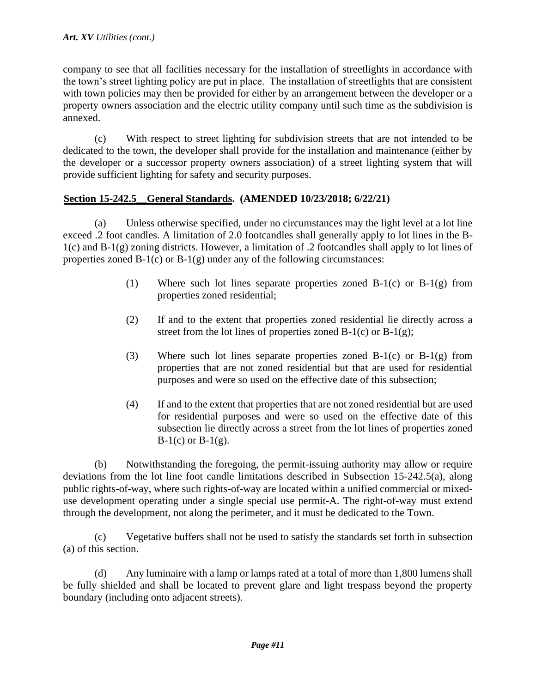company to see that all facilities necessary for the installation of streetlights in accordance with the town's street lighting policy are put in place. The installation of streetlights that are consistent with town policies may then be provided for either by an arrangement between the developer or a property owners association and the electric utility company until such time as the subdivision is annexed.

(c) With respect to street lighting for subdivision streets that are not intended to be dedicated to the town, the developer shall provide for the installation and maintenance (either by the developer or a successor property owners association) of a street lighting system that will provide sufficient lighting for safety and security purposes.

## <sup>U</sup>**Section 15-242.5\_\_General Standards. (AMENDED 10/23/2018; 6/22/21)**

(a) Unless otherwise specified, under no circumstances may the light level at a lot line exceed .2 foot candles. A limitation of 2.0 footcandles shall generally apply to lot lines in the B-1(c) and B-1(g) zoning districts. However, a limitation of .2 footcandles shall apply to lot lines of properties zoned  $B-1(c)$  or  $B-1(g)$  under any of the following circumstances:

- (1) Where such lot lines separate properties zoned B-1(c) or B-1(g) from properties zoned residential;
- (2) If and to the extent that properties zoned residential lie directly across a street from the lot lines of properties zoned B-1(c) or B-1(g);
- (3) Where such lot lines separate properties zoned B-1(c) or B-1(g) from properties that are not zoned residential but that are used for residential purposes and were so used on the effective date of this subsection;
- (4) If and to the extent that properties that are not zoned residential but are used for residential purposes and were so used on the effective date of this subsection lie directly across a street from the lot lines of properties zoned  $B-1(c)$  or  $B-1(g)$ .

(b) Notwithstanding the foregoing, the permit-issuing authority may allow or require deviations from the lot line foot candle limitations described in Subsection 15-242.5(a), along public rights-of-way, where such rights-of-way are located within a unified commercial or mixeduse development operating under a single special use permit-A. The right-of-way must extend through the development, not along the perimeter, and it must be dedicated to the Town.

(c) Vegetative buffers shall not be used to satisfy the standards set forth in subsection (a) of this section.

(d) Any luminaire with a lamp or lamps rated at a total of more than 1,800 lumens shall be fully shielded and shall be located to prevent glare and light trespass beyond the property boundary (including onto adjacent streets).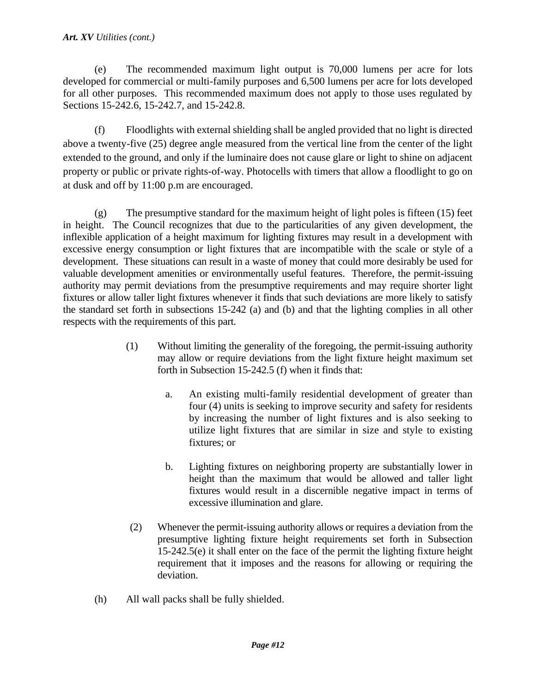#### *Art. XV Utilities (cont.)*

(e) The recommended maximum light output is 70,000 lumens per acre for lots developed for commercial or multi-family purposes and 6,500 lumens per acre for lots developed for all other purposes. This recommended maximum does not apply to those uses regulated by Sections 15-242.6, 15-242.7, and 15-242.8.

(f) Floodlights with external shielding shall be angled provided that no light is directed above a twenty-five (25) degree angle measured from the vertical line from the center of the light extended to the ground, and only if the luminaire does not cause glare or light to shine on adjacent property or public or private rights-of-way. Photocells with timers that allow a floodlight to go on at dusk and off by 11:00 p.m are encouraged.

 $(g)$  The presumptive standard for the maximum height of light poles is fifteen (15) feet in height. The Council recognizes that due to the particularities of any given development, the inflexible application of a height maximum for lighting fixtures may result in a development with excessive energy consumption or light fixtures that are incompatible with the scale or style of a development. These situations can result in a waste of money that could more desirably be used for valuable development amenities or environmentally useful features. Therefore, the permit-issuing authority may permit deviations from the presumptive requirements and may require shorter light fixtures or allow taller light fixtures whenever it finds that such deviations are more likely to satisfy the standard set forth in subsections 15-242 (a) and (b) and that the lighting complies in all other respects with the requirements of this part.

- (1) Without limiting the generality of the foregoing, the permit-issuing authority may allow or require deviations from the light fixture height maximum set forth in Subsection 15-242.5 (f) when it finds that:
	- a. An existing multi-family residential development of greater than four (4) units is seeking to improve security and safety for residents by increasing the number of light fixtures and is also seeking to utilize light fixtures that are similar in size and style to existing fixtures; or
	- b. Lighting fixtures on neighboring property are substantially lower in height than the maximum that would be allowed and taller light fixtures would result in a discernible negative impact in terms of excessive illumination and glare.
- (2) Whenever the permit-issuing authority allows or requires a deviation from the presumptive lighting fixture height requirements set forth in Subsection 15-242.5(e) it shall enter on the face of the permit the lighting fixture height requirement that it imposes and the reasons for allowing or requiring the deviation.
- (h) All wall packs shall be fully shielded.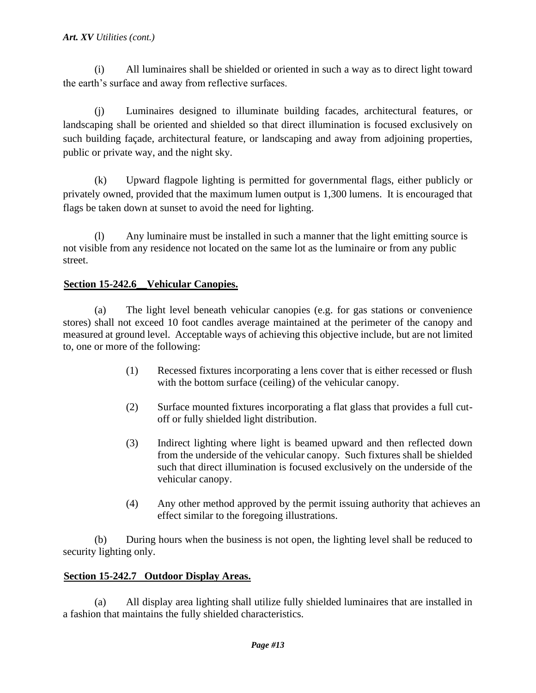(i) All luminaires shall be shielded or oriented in such a way as to direct light toward the earth's surface and away from reflective surfaces.

(j) Luminaires designed to illuminate building facades, architectural features, or landscaping shall be oriented and shielded so that direct illumination is focused exclusively on such building façade, architectural feature, or landscaping and away from adjoining properties, public or private way, and the night sky.

(k) Upward flagpole lighting is permitted for governmental flags, either publicly or privately owned, provided that the maximum lumen output is 1,300 lumens. It is encouraged that flags be taken down at sunset to avoid the need for lighting.

(l) Any luminaire must be installed in such a manner that the light emitting source is not visible from any residence not located on the same lot as the luminaire or from any public street.

## Section 15-242.6\_Vehicular Canopies.

(a) The light level beneath vehicular canopies (e.g. for gas stations or convenience stores) shall not exceed 10 foot candles average maintained at the perimeter of the canopy and measured at ground level. Acceptable ways of achieving this objective include, but are not limited to, one or more of the following:

- (1) Recessed fixtures incorporating a lens cover that is either recessed or flush with the bottom surface (ceiling) of the vehicular canopy.
- (2) Surface mounted fixtures incorporating a flat glass that provides a full cutoff or fully shielded light distribution.
- (3) Indirect lighting where light is beamed upward and then reflected down from the underside of the vehicular canopy. Such fixtures shall be shielded such that direct illumination is focused exclusively on the underside of the vehicular canopy.
- (4) Any other method approved by the permit issuing authority that achieves an effect similar to the foregoing illustrations.

(b) During hours when the business is not open, the lighting level shall be reduced to security lighting only.

## <sup>U</sup>**Section 15-242.7 Outdoor Display Areas.**

(a) All display area lighting shall utilize fully shielded luminaires that are installed in a fashion that maintains the fully shielded characteristics.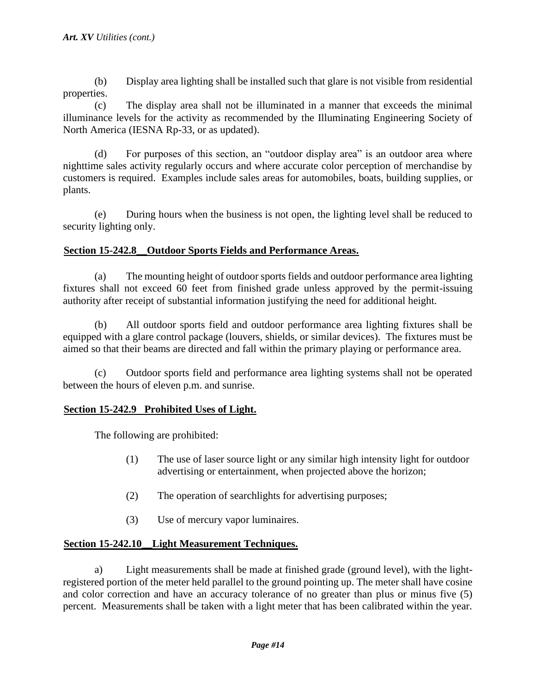(b) Display area lighting shall be installed such that glare is not visible from residential properties.

(c) The display area shall not be illuminated in a manner that exceeds the minimal illuminance levels for the activity as recommended by the Illuminating Engineering Society of North America (IESNA Rp-33, or as updated).

(d) For purposes of this section, an "outdoor display area" is an outdoor area where nighttime sales activity regularly occurs and where accurate color perception of merchandise by customers is required. Examples include sales areas for automobiles, boats, building supplies, or plants.

(e) During hours when the business is not open, the lighting level shall be reduced to security lighting only.

## **Section 15-242.8** Outdoor Sports Fields and Performance Areas.

(a) The mounting height of outdoor sports fields and outdoor performance area lighting fixtures shall not exceed 60 feet from finished grade unless approved by the permit-issuing authority after receipt of substantial information justifying the need for additional height.

(b) All outdoor sports field and outdoor performance area lighting fixtures shall be equipped with a glare control package (louvers, shields, or similar devices). The fixtures must be aimed so that their beams are directed and fall within the primary playing or performance area.

(c) Outdoor sports field and performance area lighting systems shall not be operated between the hours of eleven p.m. and sunrise.

## <sup>U</sup>**Section 15-242.9 Prohibited Uses of Light.**

The following are prohibited:

- (1) The use of laser source light or any similar high intensity light for outdoor advertising or entertainment, when projected above the horizon;
- (2) The operation of searchlights for advertising purposes;
- (3) Use of mercury vapor luminaires.

## Section 15-242.10 Light Measurement Techniques.

a) Light measurements shall be made at finished grade (ground level), with the lightregistered portion of the meter held parallel to the ground pointing up. The meter shall have cosine and color correction and have an accuracy tolerance of no greater than plus or minus five (5) percent. Measurements shall be taken with a light meter that has been calibrated within the year.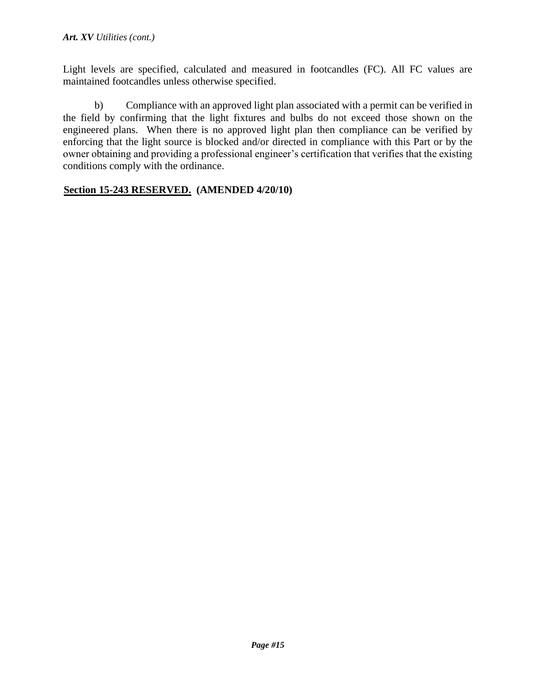Light levels are specified, calculated and measured in footcandles (FC). All FC values are maintained footcandles unless otherwise specified.

b) Compliance with an approved light plan associated with a permit can be verified in the field by confirming that the light fixtures and bulbs do not exceed those shown on the engineered plans. When there is no approved light plan then compliance can be verified by enforcing that the light source is blocked and/or directed in compliance with this Part or by the owner obtaining and providing a professional engineer's certification that verifies that the existing conditions comply with the ordinance.

## <sup>U</sup>**Section 15-243 RESERVED. (AMENDED 4/20/10)**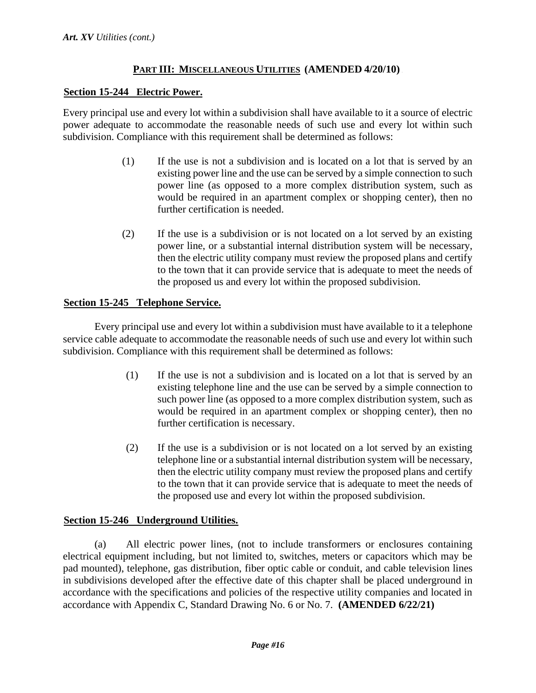## **PART III:** MISCELLANEOUS **UTILITIES** (AMENDED  $4/20/10$ )

## <sup>U</sup>**Section 15-244 Electric Power.**

Every principal use and every lot within a subdivision shall have available to it a source of electric power adequate to accommodate the reasonable needs of such use and every lot within such subdivision. Compliance with this requirement shall be determined as follows:

- (1) If the use is not a subdivision and is located on a lot that is served by an existing power line and the use can be served by a simple connection to such power line (as opposed to a more complex distribution system, such as would be required in an apartment complex or shopping center), then no further certification is needed.
- (2) If the use is a subdivision or is not located on a lot served by an existing power line, or a substantial internal distribution system will be necessary, then the electric utility company must review the proposed plans and certify to the town that it can provide service that is adequate to meet the needs of the proposed us and every lot within the proposed subdivision.

## <sup>U</sup>**Section 15-245 Telephone Service.**

Every principal use and every lot within a subdivision must have available to it a telephone service cable adequate to accommodate the reasonable needs of such use and every lot within such subdivision. Compliance with this requirement shall be determined as follows:

- (1) If the use is not a subdivision and is located on a lot that is served by an existing telephone line and the use can be served by a simple connection to such power line (as opposed to a more complex distribution system, such as would be required in an apartment complex or shopping center), then no further certification is necessary.
- (2) If the use is a subdivision or is not located on a lot served by an existing telephone line or a substantial internal distribution system will be necessary, then the electric utility company must review the proposed plans and certify to the town that it can provide service that is adequate to meet the needs of the proposed use and every lot within the proposed subdivision.

## <sup>U</sup>**Section 15-246 Underground Utilities.**

(a) All electric power lines, (not to include transformers or enclosures containing electrical equipment including, but not limited to, switches, meters or capacitors which may be pad mounted), telephone, gas distribution, fiber optic cable or conduit, and cable television lines in subdivisions developed after the effective date of this chapter shall be placed underground in accordance with the specifications and policies of the respective utility companies and located in accordance with Appendix C, Standard Drawing No. 6 or No. 7. **(AMENDED 6/22/21)**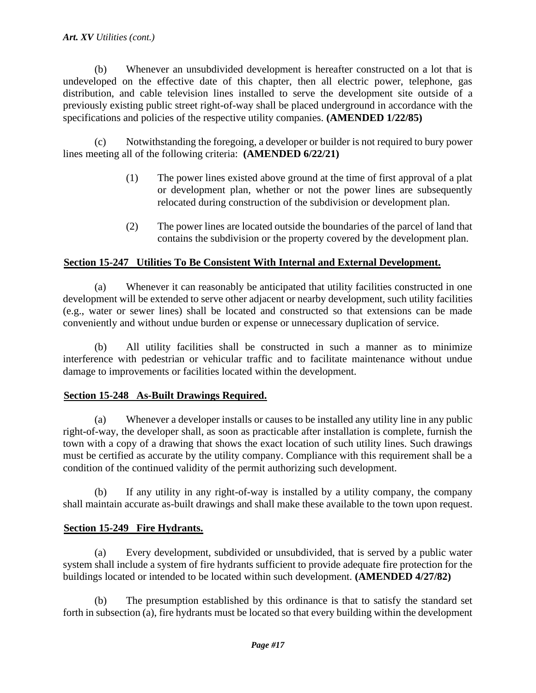#### *Art. XV Utilities (cont.)*

(b) Whenever an unsubdivided development is hereafter constructed on a lot that is undeveloped on the effective date of this chapter, then all electric power, telephone, gas distribution, and cable television lines installed to serve the development site outside of a previously existing public street right-of-way shall be placed underground in accordance with the specifications and policies of the respective utility companies. **(AMENDED 1/22/85)** 

(c) Notwithstanding the foregoing, a developer or builder is not required to bury power lines meeting all of the following criteria: **(AMENDED 6/22/21)**

- (1) The power lines existed above ground at the time of first approval of a plat or development plan, whether or not the power lines are subsequently relocated during construction of the subdivision or development plan.
- (2) The power lines are located outside the boundaries of the parcel of land that contains the subdivision or the property covered by the development plan.

## <sup>U</sup>**Section 15-247 Utilities To Be Consistent With Internal and External Development.**

(a) Whenever it can reasonably be anticipated that utility facilities constructed in one development will be extended to serve other adjacent or nearby development, such utility facilities (e.g., water or sewer lines) shall be located and constructed so that extensions can be made conveniently and without undue burden or expense or unnecessary duplication of service.

(b) All utility facilities shall be constructed in such a manner as to minimize interference with pedestrian or vehicular traffic and to facilitate maintenance without undue damage to improvements or facilities located within the development.

#### <sup>U</sup>**Section 15-248 As-Built Drawings Required.**

(a) Whenever a developer installs or causes to be installed any utility line in any public right-of-way, the developer shall, as soon as practicable after installation is complete, furnish the town with a copy of a drawing that shows the exact location of such utility lines. Such drawings must be certified as accurate by the utility company. Compliance with this requirement shall be a condition of the continued validity of the permit authorizing such development.

(b) If any utility in any right-of-way is installed by a utility company, the company shall maintain accurate as-built drawings and shall make these available to the town upon request.

## **<u>Section 15-249 Fire Hydrants.</u>**

(a) Every development, subdivided or unsubdivided, that is served by a public water system shall include a system of fire hydrants sufficient to provide adequate fire protection for the buildings located or intended to be located within such development. **(AMENDED 4/27/82)** 

(b) The presumption established by this ordinance is that to satisfy the standard set forth in subsection (a), fire hydrants must be located so that every building within the development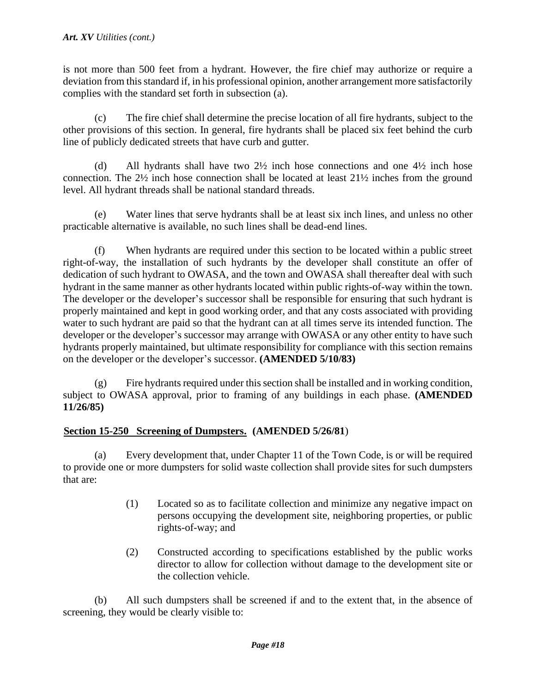is not more than 500 feet from a hydrant. However, the fire chief may authorize or require a deviation from this standard if, in his professional opinion, another arrangement more satisfactorily complies with the standard set forth in subsection (a).

(c) The fire chief shall determine the precise location of all fire hydrants, subject to the other provisions of this section. In general, fire hydrants shall be placed six feet behind the curb line of publicly dedicated streets that have curb and gutter.

(d) All hydrants shall have two  $2\frac{1}{2}$  inch hose connections and one  $4\frac{1}{2}$  inch hose connection. The 2½ inch hose connection shall be located at least 21½ inches from the ground level. All hydrant threads shall be national standard threads.

(e) Water lines that serve hydrants shall be at least six inch lines, and unless no other practicable alternative is available, no such lines shall be dead-end lines.

(f) When hydrants are required under this section to be located within a public street right-of-way, the installation of such hydrants by the developer shall constitute an offer of dedication of such hydrant to OWASA, and the town and OWASA shall thereafter deal with such hydrant in the same manner as other hydrants located within public rights-of-way within the town. The developer or the developer's successor shall be responsible for ensuring that such hydrant is properly maintained and kept in good working order, and that any costs associated with providing water to such hydrant are paid so that the hydrant can at all times serve its intended function. The developer or the developer's successor may arrange with OWASA or any other entity to have such hydrants properly maintained, but ultimate responsibility for compliance with this section remains on the developer or the developer's successor. **(AMENDED 5/10/83)** 

 $(g)$  Fire hydrants required under this section shall be installed and in working condition, subject to OWASA approval, prior to framing of any buildings in each phase. **(AMENDED 11/26/85)** 

## Section 15-250 Screening of Dumpsters. (AMENDED 5/26/81)

(a) Every development that, under Chapter 11 of the Town Code, is or will be required to provide one or more dumpsters for solid waste collection shall provide sites for such dumpsters that are:

- (1) Located so as to facilitate collection and minimize any negative impact on persons occupying the development site, neighboring properties, or public rights-of-way; and
- (2) Constructed according to specifications established by the public works director to allow for collection without damage to the development site or the collection vehicle.

(b) All such dumpsters shall be screened if and to the extent that, in the absence of screening, they would be clearly visible to: